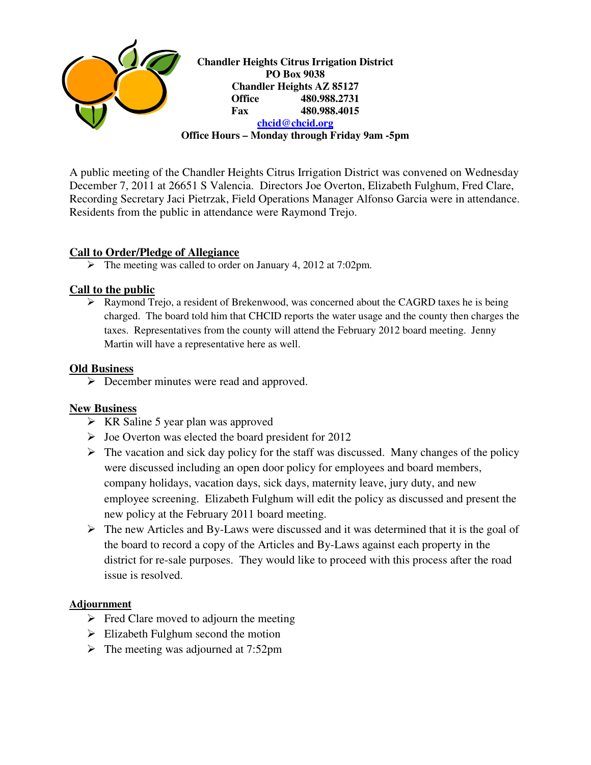

A public meeting of the Chandler Heights Citrus Irrigation District was convened on Wednesday December 7, 2011 at 26651 S Valencia. Directors Joe Overton, Elizabeth Fulghum, Fred Clare, Recording Secretary Jaci Pietrzak, Field Operations Manager Alfonso Garcia were in attendance. Residents from the public in attendance were Raymond Trejo.

# **Call to Order/Pledge of Allegiance**

The meeting was called to order on January 4, 2012 at 7:02pm.

# **Call to the public**

 Raymond Trejo, a resident of Brekenwood, was concerned about the CAGRD taxes he is being charged. The board told him that CHCID reports the water usage and the county then charges the taxes. Representatives from the county will attend the February 2012 board meeting. Jenny Martin will have a representative here as well.

### **Old Business**

▶ December minutes were read and approved.

# **New Business**

- $\triangleright$  KR Saline 5 year plan was approved
- $\triangleright$  Joe Overton was elected the board president for 2012
- $\triangleright$  The vacation and sick day policy for the staff was discussed. Many changes of the policy were discussed including an open door policy for employees and board members, company holidays, vacation days, sick days, maternity leave, jury duty, and new employee screening. Elizabeth Fulghum will edit the policy as discussed and present the new policy at the February 2011 board meeting.
- $\triangleright$  The new Articles and By-Laws were discussed and it was determined that it is the goal of the board to record a copy of the Articles and By-Laws against each property in the district for re-sale purposes. They would like to proceed with this process after the road issue is resolved.

### **Adjournment**

- $\triangleright$  Fred Clare moved to adjourn the meeting
- $\triangleright$  Elizabeth Fulghum second the motion
- $\triangleright$  The meeting was adjourned at 7:52pm